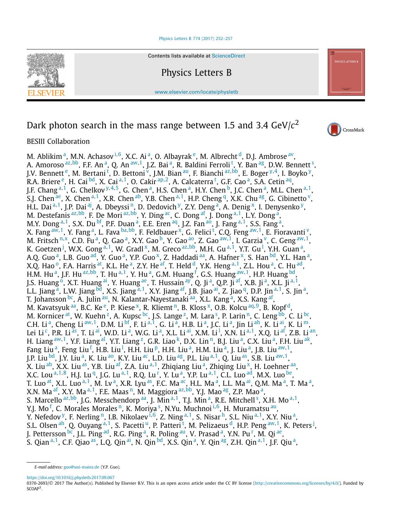### [Physics Letters B 774 \(2017\) 252–257](https://doi.org/10.1016/j.physletb.2017.09.067)



Contents lists available at [ScienceDirect](http://www.ScienceDirect.com/)

Physics Letters B

[www.elsevier.com/locate/physletb](http://www.elsevier.com/locate/physletb)

# Dark photon search in the mass range between 1.5 and 3.4 GeV/*c*<sup>2</sup>



## BESIII Collaboration

M. Abl[i](#page-1-0)kim<sup>a</sup>, M.N. Achasov<sup>i, 6</sup>, X.C. Ai<sup>a</sup>, O. Albayrak<sup>e</sup>, M. Albrecht<sup>d</sup>, D.J. Ambrose<sup>av</sup>, A. Amoroso <sup>[az](#page-2-0), bb</sup>, F.F. An <sup>a</sup>, Q. An <sup>[aw](#page-2-0), 1</sup>, J.Z. Bai <sup>a</sup>, R. Baldini Ferroli <sup>[t](#page-1-0)</[s](#page-1-0)up>, Y. Ban <sup>ag</sup>, D.W. Bennett <sup>s</sup>, J.V. Benne[t](#page-1-0)t <sup>e</sup>, M. Bertani <sup>t</sup>, D. Bettoni <sup>v</sup>, J.M. Bian <sup>au</sup>, F. Bianchi <sup>[az](#page-2-0),bb</sup>, E. Boger <sup>[y](#page-1-0),4</sup>, I. Boyko <sup>y</sup>, R.A. Briere <sup>e</sup>, H. C[a](#page-1-0)i <sup>bd</sup>, X. Cai <sup>a, 1</sup>, O. Cakir <sup>[ap](#page-1-0), 2</sup>, A. Calca[t](#page-1-0)erra <sup>t</sup>, G.F. Cao <sup>a</sup>, S.A. Cetin <sup>aq</sup>, J.F. Ch[a](#page-1-0)ng a, [1,](#page-2-0) G. Chelkov <sup>[y](#page-1-0), [4](#page-2-0), 5</sup>, G. Chen <sup>a</sup>, H.S. Chen <sup>a</sup>, H.Y. Chen <sup>b</sup>, J.C. Chen <sup>a</sup>, M.L. Chen <sup>[a,](#page-1-0) 1</sup>, S.J. Chen [ae,](#page-1-0) X. Chen [a](#page-1-0), [1,](#page-2-0) X.R. Chen [ab,](#page-1-0) Y.B. Chen a, 1, H.P. Cheng [q,](#page-1-0) X.K. Chu [ag,](#page-1-0) G. Cibinetto [v,](#page-1-0) H.L. D[a](#page-1-0)i<sup>a, 1</sup>, J.P. Dai<sup>[aj](#page-1-0)</sup>, A. Dbeyssi<sup>n</sup>, D. Dedovich <sup>y</sup>, Z.Y. Deng<sup>a</sup>, A. Denig<sup>x</sup>, I. Denysenko <sup>y</sup>, M. Destefanis <sup>[az](#page-2-0), bb</sup>, F. De Mori <sup>[a](#page-1-0)z, bb</sup>, Y. Ding <sup>ac</sup>, C. Dong <sup>af</sup>, J. Dong <sup>[a,](#page-1-0) 1</sup>, L.Y. Dong <sup>a</sup>, M.Y. Dong <sup>[a](#page-1-0), 1</sup>, S.X. Du <sup>bf</sup>, P.F. Duan <sup>a</sup>, E.E. Eren <sup>aq</sup>, J.Z. Fan <sup>ao</sup>, J. Fang <sup>[a,](#page-1-0) 1</sup>, S.S. Fang <sup>a</sup>, X. Fang <sup>[aw](#page-2-0), 1</sup>, Y. Fang <sup>a</sup>, L. Fava <sup>b[a,](#page-1-0) bb</sup>, F. Feld[ba](#page-2-0)uer <sup>x</sup>, G. Felici <sup>[t](#page-1-0)</sup>, C.Q. Feng <sup>aw, 1</sup>, E. Fioravanti <sup>v</sup>, M. Fritsch <sup>[n](#page-1-0),x</sup>, C.D. Fu <sup>a</sup>, Q. Gao <sup>a</sup>, X.Y. Gao <sup>b</sup>, Y. Gao <sup>ao</sup>, Z. Gao <sup>[aw](#page-2-0), 1</sup>, I. Garzia <sup>v</sup>, C. Geng <sup>aw, 1</sup>, K. Goetzen <sup>[j](#page-1-0)</sup>, W.X. Gong <sup>[a](#page-1-0), 1</sup>, W. Gradl <sup>x</sup>, M. Greco <sup>[az](#page-2-0), bb</sup>, M.H. Gu <sup>a, 1</sup>, Y.T. Gu <sup>[l](#page-1-0)</sup>, Y.H. Guan <sup>a</sup>, A.Q. Guo<sup>a</sup>, L.B. Guo<sup>ad</sup>, Y. Guo<sup>a</sup>, Y.P. Guo<sup>x</sup>, Z. Haddadi<sup>aa</sup>, A. Hafner<sup>x</sup>, S. Han<sup>bd</sup>, Y.L. Han<sup>a</sup>, X.Q. Hao<sup>o</sup>, F.A. Harris <sup>at</sup>, K.L. He<sup>a</sup>, Z.Y. He<sup>af</sup>, T. Held <sup>d</sup>, Y.K. Heng <sup>[a,](#page-1-0) 1</sup>, Z.L. Hou<sup>[a](#page-1-0)</sup>, C. Hu<sup>ad</sup>, H.M. Hu<sup>a</sup>, J.F. Hu<sup>az,bb</sup>, T. Hu<sup>[a,](#page-1-0) 1</sup>, Y. Hu<sup>[a](#page-1-0)</sup>, G.M. Huang <sup>[f](#page-1-0)</sup>, G.S. Huang <sup>[aw](#page-2-0), 1</sup>, H.P. Huang <sup>bd</sup>, J.S. Huang <sup>o</sup>, X.T. Huang <sup>ai</sup>, Y. Huang <sup>ae</sup>, T. Hussain <sup>ay</sup>, Q. Ji <sup>a</sup>, Q.P. Ji <sup>af</sup>, X.B. Ji <sup>a</sup>, X.L. Ji <sup>[a,](#page-1-0) 1</sup>, L.L. Jiang <sup>a</sup>, L.W. Jiang <sup>bd</sup>, X.S. Jiang <sup>[a,](#page-1-0) 1</sup>, X.Y. Ji[a](#page-1-0)ng <sup>af</sup>, J.B. Jiao <sup>ai</sup>, Z. Jiao <sup>q</sup>, D.P. Jin <sup>a, 1</sup>, S. Jin <sup>a</sup>, T. Johansson <sup>bc</sup>, A. Julin <sup>au</sup>, N. Kalantar-Nayestanaki <sup>aa</sup>, X.L. Kang <sup>a</sup>, X.S. Kang <sup>af</sup>, M. Kavatsyuk <sup>aa</sup>, B.C. Ke <sup>e</sup>, P. Kiese <sup>x</sup>, R. Kliemt <sup>n</sup>, B. Kloss <sup>x</sup>, O.B. Kolcu <sup>[aq](#page-1-0), 9</sup>, B. Kopf <sup>d</sup>, M. Kornicer <[s](#page-1-0)up>at</sup>, W. Kuehn <sup>z</sup>, A. Kupsc <sup>bc</sup>, J.S. Lange <sup>z</sup>, M. Lara <sup>s</sup>, P. Larin <sup>n</sup>, C. Leng <sup>bb</sup>, C. Li <sup>bc</sup>, C.H. Li<sup>a</sup>, Cheng Li<sup>aw, 1</sup>, D.M. Li<sup>bf</sup>, F. Li<sup>[a,](#page-1-0) 1</sup>, G. Li<sup>[a](#page-1-0)</sup>, H.B. Li<sup>a</sup>, J.C. Li<sup>a</sup>, Jin Li<sup>ah</sup>, K. Li<sup>ai</sup>, K. Li<sup>m</sup>, Lei Li <sup>c</sup>, P.R. Li <sup>as</sup>, T. Li <sup>ai</sup>, W.D. Li <sup>a</sup>, W.G. Li <sup>a</sup>, X.L. Li <sup>ai</sup>, X.M. Li <sup>l</sup>, X.N. Li <sup>[a,](#page-1-0) 1</sup>, X.Q. Li <sup>[a](#page-1-0)f</sup>, Z.B. Li <sup>an</sup>, H. Liang <sup>[aw](#page-2-0), 1</sup>, Y.F. Liang <sup>al</sup>, Y.T. Liang <sup>z</sup>, G.R. Liao <sup>k</sup>, D.X. Lin<sup>n</sup>, B.J. Liu<sup>a</sup>, C.X. Liu<sup>a</sup>, F.H. Liu<sup>ak</sup>, Fang Liu<sup>a</sup>, Feng Liu<sup>[f](#page-1-0)</sup>, H.B. Liu<sup>1</sup>, H.H. Liu<sup>p</sup>, H.H. Liu<sup>a</sup>, H.M. Liu<sup>a</sup>, J. Liu<sup>a</sup>, J.B. Liu<sup>[aw](#page-2-0), 1</sup>, J.P. Liu <sup>bd</sup>, J.Y. Liu<sup>a</sup>, K. Liu<sup>ao</sup>, K.Y. Liu<sup>ac</sup>, L.D. Liu<sup>ag</sup>, P.L. Liu<sup>[a,](#page-1-0)1</sup>, Q. Liu<sup>[a](#page-1-0)s</sup>, S.B. Liu<sup>[aw](#page-2-0),1</sup>, X. Liu [ab,](#page-1-0) X.X. Liu [as,](#page-2-0) Y.B. Liu [af,](#page-1-0) Z.A. Liu [a](#page-1-0), <sup>1</sup>, Zhiqiang Liu <sup>a</sup>, Zhiqing Liu <sup>x</sup>, H. Loehner a[a,](#page-1-0) X.C. Lou <sup>[a](#page-1-0), [1](#page-2-0), 8</sup>, H.J. Lu <sup>q</sup>, J.G. Lu <sup>a, 1</sup>, R.Q. Lu <sup>[r](#page-1-0)</sup>, Y. Lu <sup>a</sup>, Y.P. Lu <sup>[a,](#page-1-0) 1</sup>, C.L. Luo <sup>ad</sup>, M.X. Luo <sup>be</sup>, T. Luo <sup>[a](#page-1-0)t</sup>, X.L. Luo <sup>[a,](#page-1-0) 1</sup>, M. Lv <sup>a</sup>, X.R. Lyu <sup>as</sup>, F.C. Ma <sup>ac</sup>, H.L. Ma <sup>a</sup>, L.L. Ma <sup>ai</sup>, Q.M. Ma <sup>a</sup>, T. Ma <sup>a</sup>, X.N. M[a](#page-1-0) <sup>af</sup>, X.Y. Ma <sup>a, 1</sup>, F.E. Maas <sup>n</sup>, M. Maggiora <sup>[az](#page-2-0),bb</sup>, Y.J. Mao <sup>ag</sup>, Z.P. Mao <sup>a</sup>, S. Marcello <sup>[az](#page-2-0), bb</sup>, J.G. Messchendorp <sup>[a](#page-1-0)a</sup>, J. Min <sup>[a,](#page-1-0) 1</[s](#page-1-0)up>, T.J. Min <sup>a</sup>, R.E. Mitchell <sup>s</sup>, X.H. Mo <sup>a, 1</sup>, Y.J. Mo<sup>[f](#page-1-0)</[s](#page-1-0)up>, C. Morales Morales <sup>n</sup>, K. Mor[i](#page-1-0)ya <sup>s</sup>, N.Yu. Muchnoi <sup>i,6</sup>, H. Muramatsu <sup>au</sup>, Y. Nefedov [y,](#page-1-0) F. Nerling [n,](#page-1-0) I.B. Nikolaev [i](#page-1-0)*,*[6,](#page-2-0) Z. Ning [a](#page-1-0)*,*[1,](#page-2-0) S. Nisar [h,](#page-1-0) S.L. Niu [a](#page-1-0)*,*[1,](#page-2-0) X.Y. Niu [a,](#page-1-0) S.L. Olsen <sup>[a](#page-1-0)h</sup>, Q. Ouyang <sup>a, 1</sup>, S. Pace[t](#page-1-0)ti <sup>u</sup>, P. Patteri <sup>t</sup>, M. Pelizaeus <sup>d</sup>, H.P. Peng <sup>[aw](#page-2-0), 1</sup>, K. Peters <sup>[j](#page-1-0)</sup>, J. Pette[r](#page-1-0)sson <sup>bc</sup>, J.L. Ping <sup>ad</sup>, R.G. Ping <sup>a</sup>, R. Poling <sup>au</sup>, V. Prasad <sup>a</sup>, Y.N. Pu <sup>r</sup>, M. Qi <sup>ae</sup>, S. Qian [a](#page-1-0)*,*[1,](#page-2-0) C.F. Qiao [as,](#page-2-0) L.Q. Qin [ai,](#page-1-0) N. Qin [bd,](#page-2-0) X.S. Qin [a,](#page-1-0) Y. Qin [ag,](#page-1-0) Z.H. Qin [a](#page-1-0)*,*[1,](#page-2-0) J.F. Qiu [a,](#page-1-0)

<https://doi.org/10.1016/j.physletb.2017.09.067>

0370-2693/© 2017 The Author(s). Published by Elsevier B.V. This is an open access article under the CC BY license [\(http://creativecommons.org/licenses/by/4.0/](http://creativecommons.org/licenses/by/4.0/)). Funded by SCOAP<sup>3</sup>

*E-mail address:* [guo@uni-mainz.de](mailto:guo@uni-mainz.de) (Y.P. Guo).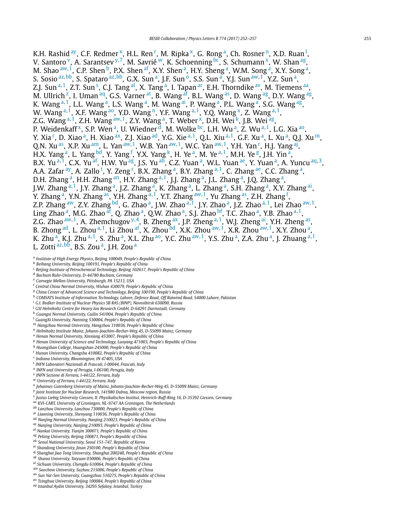<span id="page-1-0"></span>K.H. Rashid <sup>ay</sup>, C.F. Redmer <sup>x</sup>, H.L. Ren <sup>r</sup>, M. Ripka <sup>x</sup>, G. Rong <sup>a</sup>, Ch. Rosner <sup>n</sup>, X.D. Ruan <sup>l</sup>, V. Santoro <sup>v</sup>, A. Sarantsev <sup>y, 7</sup>, M. Savrié <sup>w</sup>, K. Schoenning <sup>bc</sup>, S. Schumann <sup>x</sup>, W. Shan <sup>ag</sup>, M. Shao <sup>[aw](#page-2-0), 1</sup>, C.P. Shen <sup>b</sup>, P.X. Shen <sup>af</sup>, X.Y. Shen <sup>a</sup>, H.Y. Sheng <sup>a</sup>, W.M. Song <sup>a</sup>, X.Y. Song <sup>a</sup>, S. Sosio [az](#page-2-0)*,*[bb,](#page-2-0) S. Spataro [az](#page-2-0)*,*[bb,](#page-2-0) G.X. Sun a, J.F. Sun o, S.S. Sun a, Y.J. Sun [aw](#page-2-0)*,*[1,](#page-2-0) Y.Z. Sun a, Z.J. Sun <sup>a, 1</sup>, Z.T. Sun <sup>s</sup>, C.J. Tang <sup>al</sup>, X. Tang <sup>a</sup>, I. Tapan <sup>ar</sup>, E.H. Thorndike <sup>av</sup>, M. Tiemens <sup>aa</sup>, M. Ullrich<sup> z</sup>, I. Uman <sup>aq</sup>, G.S. Varner <sup>at</sup>, B. Wang <sup>af</sup>, B.L. Wang <sup>as</sup>, D. Wang <sup>ag</sup>, D.Y. Wang <sup>ag</sup>, K. Wang <sup>a, 1</sup>, L.L. Wang <sup>a</sup>, L.S. Wang <sup>a</sup>, M. Wang <sup>ai</sup>, P. Wang <sup>a</sup>, P.L. Wang <sup>a</sup>, S.G. Wang <sup>ag</sup>, W. Wang <sup>a, 1</sup>, X.F. Wang <sup>ao</sup>, Y.D. Wang <sup>n</sup>, Y.F. Wang <sup>a, 1</sup>, Y.Q. Wang <sup>x</sup>, Z. Wang <sup>a, 1</sup>, Z.G. Wang <sup>a, 1</sup>, Z.H. Wang <sup>[aw](#page-2-0), 1</sup>, Z.Y. Wang <sup>a</sup>, T. Weber <sup>x</sup>, D.H. Wei <sup>k</sup>, J.B. Wei <sup>ag</sup>, P. Weidenkaff<sup>x</sup>, S.P. Wen<sup>a</sup>, U. Wiedner<sup>d</sup>, M. Wolke <sup>bc</sup>, L.H. Wu<sup>a</sup>, Z. Wu<sup>a, 1</sup>, L.G. Xia <sup>ao</sup>, Y. Xia <sup>r</sup>, D. Xiao <sup>a</sup>, H. Xiao <sup>ax</sup>, Z.J. Xiao <sup>ad</sup>, Y.G. Xie <sup>a, 1</sup>, Q.L. Xiu <sup>a, 1</sup>, G.F. Xu <sup>a</sup>, L. Xu <sup>a</sup>, Q.J. Xu <sup>m</sup>, Q.N. Xu <sup>as</sup>, X.P. Xu <sup>am</sup>, L. Yan <sup>[aw](#page-2-0), 1</sup>, W.B. Yan <sup>aw, 1</sup>, W.C. Yan <sup>aw, 1</sup>, Y.H. Yan <sup>r</sup>, H.J. Yang <sup>aj</sup>, H.X. Yang <sup>a</sup>, L. Yang <sup>bd</sup>, Y. Yang <sup>f</sup>, Y.X. Yang <sup>k</sup>, H. Ye <sup>a</sup>, M. Ye <sup>a, 1</sup>, M.H. Ye <sup>g</sup>, J.H. Yin <sup>a</sup>, B.X. Yu <sup>a</sup>*,*[1,](#page-2-0) C.X. Yu af, H.W. Yu ag, J.S. Yu ab, C.Z. Yuan a, W.L. Yuan ae, Y. Yuan a, A. Yuncu aq*,*[3,](#page-2-0) A.A. Zafar <sup>[ay](#page-2-0)</sup>, A. Zallo <sup>t</sup>, Y. Zeng <sup>r</sup>, B.X. Zhang <sup>a</sup>, B.Y. Zhang <sup>a, 1</sup>, C. Zhang <sup>ae</sup>, C.C. Zhang <sup>a</sup>, D.H. Zhang<sup>a</sup>, H.H. Zhang an, H.Y. Zhang a, [1,](#page-2-0) J.J. Zhang a, J.L. Zhang a, J.Q. Zhang a, J.W. Zhang a, [1,](#page-2-0) J.Y. Zhang a, J.Z. Zhang a, K. Zhang a, L. Zhang a, S.H. Zhang a, X.Y. Zhang ai, Y. Zhang <sup>a</sup>, Y.N. Zhang <sup>as</sup>, Y.H. Zhang <sup>a, 1</sup>, Y.T. Zhang <sup>[aw](#page-2-0), 1</sup>, Yu Zhang <sup>as</sup>, Z.H. Zhang <sup>f</sup>, Z.P. Zhang [aw,](#page-2-0) Z.Y. Zhang [bd,](#page-2-0) G. Zhao a, J.W. Zhao <sup>a</sup>*,*[1,](#page-2-0) J.Y. Zhao a, J.Z. Zhao <sup>a</sup>*,*[1,](#page-2-0) Lei Zhao [aw](#page-2-0)*,*[1,](#page-2-0) Ling Zhao <sup>a</sup>, M.G. Zhao <sup>af</sup>, Q. Zhao <sup>a</sup>, Q.W. Zhao <sup>a</sup>, S.J. Zhao <sup>bf</sup>, T.C. Zhao <sup>a</sup>, Y.B. Zhao <sup>a, 1</sup>, Z.G. Zhao <sup>[aw](#page-2-0), 1</sup>, A. Zhemchugov <sup>y, 4</sup>, B. Zheng <sup>ax</sup>, J.P. Zheng <sup>a, 1</sup>, W.J. Zheng <sup>ai</sup>, Y.H. Zheng <sup>as</sup>, B. Zhong ad, L. Zhou <sup>a</sup>*,*[1,](#page-2-0) Li Zhou af, X. Zhou [bd,](#page-2-0) X.K. Zhou [aw](#page-2-0)*,*[1,](#page-2-0) X.R. Zhou [aw](#page-2-0)*,*[1,](#page-2-0) X.Y. Zhou a, K. Zhu a, K.J. Zhu <sup>a</sup>*,*[1,](#page-2-0) S. Zhu a, X.L. Zhu ao, Y.C. Zhu [aw](#page-2-0)*,*[1,](#page-2-0) Y.S. Zhu a, Z.A. Zhu a, J. Zhuang <sup>a</sup>*,*[1,](#page-2-0) L. Zotti <sup>[az](#page-2-0), bb</sup>, B.S. Zou<sup>a</sup>, J.H. Zou<sup>a</sup>

- <sup>c</sup> *Beijing Institute of Petrochemical Technology, Beijing 102617, People's Republic of China*
- <sup>d</sup> *Bochum Ruhr-University, D-44780 Bochum, Germany*
- <sup>e</sup> *Carnegie Mellon University, Pittsburgh, PA 15213, USA*
- <sup>f</sup> *Central China Normal University, Wuhan 430079, People's Republic of China*
- <sup>g</sup> *China Center of Advanced Science and Technology, Beijing 100190, People's Republic of China*
- <sup>h</sup> *COMSATS Institute of Information Technology, Lahore, Defence Road, Off Raiwind Road, 54000 Lahore, Pakistan*
- <sup>i</sup> *G.I. Budker Institute of Nuclear Physics SB RAS (BINP), Novosibirsk 630090, Russia*
- <sup>j</sup> *GSI Helmholtz Centre for Heavy Ion Research GmbH, D-64291 Darmstadt, Germany*
- <sup>k</sup> *Guangxi Normal University, Guilin 541004, People's Republic of China*
- <sup>l</sup> *GuangXi University, Nanning 530004, People's Republic of China*
- <sup>m</sup> *Hangzhou Normal University, Hangzhou 310036, People's Republic of China*
- <sup>n</sup> *Helmholtz Institute Mainz, Johann-Joachim-Becher-Weg 45, D-55099 Mainz, Germany*
- <sup>o</sup> *Henan Normal University, Xinxiang 453007, People's Republic of China*
- <sup>p</sup> *Henan University of Science and Technology, Luoyang 471003, People's Republic of China*
- <sup>q</sup> *Huangshan College, Huangshan 245000, People's Republic of China*
- <sup>r</sup> *Hunan University, Changsha 410082, People's Republic of China*
- <sup>s</sup> *Indiana University, Bloomington, IN 47405, USA*
- <sup>t</sup> *INFN Laboratori Nazionali di Frascati, I-00044, Frascati, Italy*
- <sup>u</sup> *INFN and University of Perugia, I-06100, Perugia, Italy*
- <sup>v</sup> *INFN Sezione di Ferrara, I-44122, Ferrara, Italy*
- <sup>w</sup> *University of Ferrara, I-44122, Ferrara, Italy*
- <sup>x</sup> *Johannes Gutenberg University of Mainz, Johann-Joachim-Becher-Weg 45, D-55099 Mainz, Germany*
- <sup>y</sup> *Joint Institute for Nuclear Research, 141980 Dubna, Moscow region, Russia*
- <sup>z</sup> *Justus Liebig University Giessen, II. Physikalisches Institut, Heinrich-Buff-Ring 16, D-35392 Giessen, Germany*
- aa *KVI-CART, University of Groningen, NL-9747 AA Groningen, The Netherlands*
- ab *Lanzhou University, Lanzhou 730000, People's Republic of China*
- ac *Liaoning University, Shenyang 110036, People's Republic of China*
- ad *Nanjing Normal University, Nanjing 210023, People's Republic of China*
- ae *Nanjing University, Nanjing 210093, People's Republic of China*
- af *Nankai University, Tianjin 300071, People's Republic of China*
- ag *Peking University, Beijing 100871, People's Republic of China*
- ah *Seoul National University, Seoul 151-747, Republic of Korea*
- ai *Shandong University, Jinan 250100, People's Republic of China*
- aj *Shanghai Jiao Tong University, Shanghai 200240, People's Republic of China*
- ak *Shanxi University, Taiyuan 030006, People's Republic of China*
- al *Sichuan University, Chengdu 610064, People's Republic of China*
- am *Soochow University, Suzhou 215006, People's Republic of China* an *Sun Yat-Sen University, Guangzhou 510275, People's Republic of China*
- ao *Tsinghua University, Beijing 100084, People's Republic of China*
- ap *Istanbul Aydin University, 34295 Sefakoy, Istanbul, Turkey*

<sup>a</sup> *Institute of High Energy Physics, Beijing 100049, People's Republic of China*

<sup>b</sup> *Beihang University, Beijing 100191, People's Republic of China*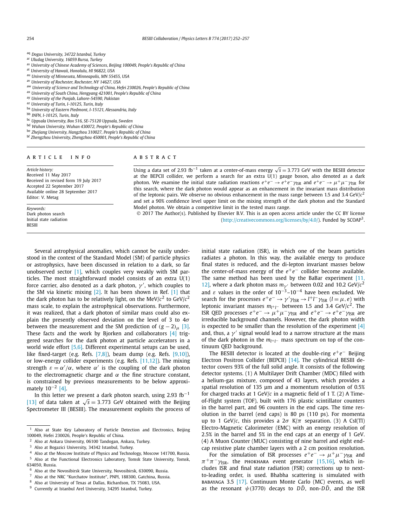- <span id="page-2-0"></span>aq *Dogus University, 34722 Istanbul, Turkey*
- ar *Uludag University, 16059 Bursa, Turkey*
- as *University of Chinese Academy of Sciences, Beijing 100049, People's Republic of China*
- at *University of Hawaii, Honolulu, HI 96822, USA*
- au *University of Minnesota, Minneapolis, MN 55455, USA*
- av *University of Rochester, Rochester, NY 14627, USA*
- aw *University of Science and Technology of China, Hefei 230026, People's Republic of China*
- ax *University of South China, Hengyang 421001, People's Republic of China*
- ay *University of the Punjab, Lahore-54590, Pakistan*
- az *University of Turin, I-10125, Turin, Italy*
- ba *University of Eastern Piedmont, I-15121, Alessandria, Italy*
- bb *INFN, I-10125, Turin, Italy*
- bc *Uppsala University, Box 516, SE-75120 Uppsala, Sweden*
- bd *Wuhan University, Wuhan 430072, People's Republic of China*
- be *Zhejiang University, Hangzhou 310027, People's Republic of China*
- bf *Zhengzhou University, Zhengzhou 450001, People's Republic of China*

#### A R T I C L E I N F O A B S T R A C T

*Article history:* Received 11 May 2017 Received in revised form 19 July 2017 Accepted 22 September 2017 Available online 28 September 2017 Editor: V. Metag

*Keywords:* Dark photon search Initial state radiation **BESIII** 

Using <sup>a</sup> data set of 2.93 fb−<sup>1</sup> taken at <sup>a</sup> center-of-mass energy <sup>√</sup>*<sup>s</sup>* <sup>=</sup> <sup>3</sup>*.*773 GeV with the BESIII detector at the BEPCII collider, we perform a search for an extra U(1) gauge boson, also denoted as a dark photon. We examine the initial state radiation reactions  $e^+e^- \to e^+e^- \gamma_{\rm ISR}$  and  $e^+e^- \to \mu^+\mu^-\gamma_{\rm ISR}$  for this search, where the dark photon would appear as an enhancement in the invariant mass distribution of the leptonic pairs. We observe no obvious enhancement in the mass range between 1.5 and 3.4 GeV/ $c^2$ and set a 90% confidence level upper limit on the mixing strength of the dark photon and the Standard Model photon. We obtain a competitive limit in the tested mass range.

© 2017 The Author(s). Published by Elsevier B.V. This is an open access article under the CC BY license [\(http://creativecommons.org/licenses/by/4.0/\)](http://creativecommons.org/licenses/by/4.0/). Funded by SCOAP3.

Several astrophysical anomalies, which cannot be easily understood in the context of the Standard Model (SM) of particle physics or astrophysics, have been discussed in relation to a dark, so far unobserved sector [\[1\],](#page-5-0) which couples very weakly with SM particles. The most straightforward model consists of an extra U(1) force carrier, also denoted as a dark photon,  $\gamma'$ , which couples to the SM via kinetic mixing [\[2\].](#page-5-0) It has been shown in Ref. [\[1\]](#page-5-0) that the dark photon has to be relatively light, on the MeV/ $c^2$  to GeV/ $c^2$ mass scale, to explain the astrophysical observations. Furthermore, it was realized, that a dark photon of similar mass could also explain the presently observed deviation on the level of 3 to 4*σ* between the measurement and the SM prediction of  $(g - 2)$ <sub>μ</sub> [\[3\].](#page-5-0) These facts and the work by Bjorken and collaborators [\[4\]](#page-5-0) triggered searches for the dark photon at particle accelerators in a world wide effort [\[5,6\].](#page-5-0) Different experimental setups can be used, like fixed-target (e.g. Refs. [\[7,8\]\)](#page-5-0), beam dump (e.g. Refs. [\[9,10\]\)](#page-5-0), or low-energy collider experiments (e.g. Refs. [\[11,12\]\)](#page-5-0). The mixing strength  $\varepsilon = \alpha'/\alpha$ , where  $\alpha'$  is the coupling of the dark photon to the electromagnetic charge and  $\alpha$  the fine structure constant, is constrained by previous measurements to be below approximately  $10^{-2}$  [\[4\].](#page-5-0)

In this letter we present a dark photon search, using 2.93 fb<sup>-1</sup> [\[13\]](#page-5-0) of data taken at  $\sqrt{s}$  = 3.773 GeV obtained with the Beijing Spectrometer III (BESIII). The measurement exploits the process of

Also at the NRC "Kurchatov Institute", PNPI, 188300, Gatchina, Russia.

initial state radiation (ISR), in which one of the beam particles radiates a photon. In this way, the available energy to produce final states is reduced, and the di-lepton invariant masses below the center-of-mass energy of the  $e^+e^-$  collider become available. The same method has been used by the BaBar experiment  $[11, 12]$  $[11, 12]$ [12\],](#page-5-0) where a dark photon mass  $m_{\gamma}$  between 0.02 and 10.2 GeV/ $c^2$ and  $\varepsilon$  values in the order of 10<sup>-3</sup>–10<sup>-4</sup> have been excluded. We search for the processes  $e^+e^- \rightarrow \gamma' \gamma_{\text{ISR}} \rightarrow l^+l^- \gamma_{\text{ISR}}$  ( $l = \mu, e$ ) with leptonic invariant masses  $m_{l^+l^-}$  between 1.5 and 3.4 GeV/ $c^2$ . The ISR QED processes  $e^+e^- \rightarrow \mu^+\mu^-\gamma_{\text{ISR}}$  and  $e^+e^- \rightarrow e^+e^-\gamma_{\text{ISR}}$  are irreducible background channels. However, the dark photon width is expected to be smaller than the resolution of the experiment [\[4\]](#page-5-0) and, thus, a  $\gamma'$  signal would lead to a narrow structure at the mass of the dark photon in the  $m_{l+1}$  mass spectrum on top of the continuum QED background.

The BESIII detector is located at the double-ring *e*+*e*− Beijing Electron Positron Collider (BEPCII) [\[14\].](#page-5-0) The cylindrical BESIII detector covers 93% of the full solid angle. It consists of the following detector systems. (1) A Multilayer Drift Chamber (MDC) filled with a helium-gas mixture, composed of 43 layers, which provides a spatial resolution of 135 μm and a momentum resolution of 0.5% for charged tracks at 1 GeV/*c* in a magnetic field of 1 T. (2) A Timeof-Flight system (TOF), built with 176 plastic scintillator counters in the barrel part, and 96 counters in the end caps. The time resolution in the barrel (end caps) is 80 ps (110 ps). For momenta up to 1 GeV/*c*, this provides a  $2\sigma$  K/ $\pi$  separation. (3) A CsI(Tl) Electro-Magnetic Calorimeter (EMC) with an energy resolution of 2.5% in the barrel and 5% in the end caps at an energy of 1 GeV. (4) A Muon Counter (MUC) consisting of nine barrel and eight endcap resistive plate chamber layers with a 2 cm position resolution.

For the simulation of ISR processes  $e^+e^- \rightarrow \mu^+\mu^-\gamma_{\rm ISR}$  and  $\pi^+\pi^-\gamma_{\text{ISR}}$ , the PHOKHARA event generator [\[15,16\],](#page-5-0) which includes ISR and final state radiation (FSR) corrections up to nextto-leading order, is used. Bhabha scattering is simulated with babayaga 3.5 [\[17\].](#page-5-0) Continuum Monte Carlo (MC) events, as well as the resonant  $\psi$ (3770) decays to  $D\overline{D}$ , non- $D\overline{D}$ , and the ISR

 $1$  Also at State Key Laboratory of Particle Detection and Electronics, Beijing 100049, Hefei 230026, People's Republic of China.

<sup>&</sup>lt;sup>2</sup> Also at Ankara University, 06100 Tandogan, Ankara, Turkey.<br> $\frac{3}{2}$  Also at Borazisi University, 24242 Jetaphyl Turkey.

 $3$  Also at Bogazici University, 34342 Istanbul, Turkey.<br>4. Also at the Moscouy Institute of Physics and Technol

<sup>&</sup>lt;sup>4</sup> Also at the Moscow Institute of Physics and Technology, Moscow 141700, Russia.<br><sup>5</sup> Also at the Euratianal Electronics Johantomy, Terrals State University, Terrals

Also at the Functional Electronics Laboratory, Tomsk State University, Tomsk, 634050, Russia.

<sup>&</sup>lt;sup>6</sup> Also at the Novosibirsk State University, Novosibirsk, 630090, Russia.<br><sup>7</sup> Also at the NBC "Kurshatov Institute", PNBL 188200, Catshina Bussia.

<sup>8</sup> Also at University of Texas at Dallas, Richardson, TX 75083, USA.

<sup>9</sup> Currently at Istanbul Arel University, 34295 Istanbul, Turkey.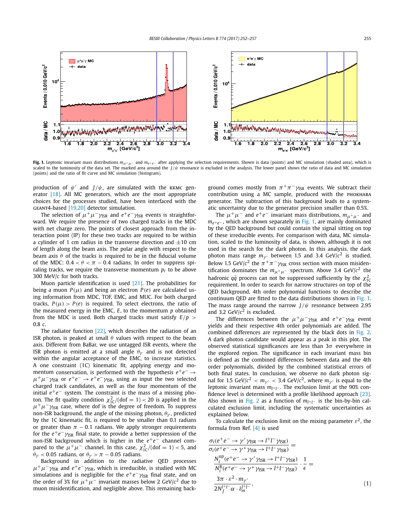<span id="page-3-0"></span>

**Fig. 1.** Leptonic invariant mass distributions *mμ*+*μ*<sup>−</sup> and *me*+*e*<sup>−</sup> after applying the selection requirements. Shown is data (points) and MC simulation (shaded area), which is scaled to the luminosity of the data set. The marked area around the  $J/\psi$  resonance is excluded in the analysis. The lower panel shows the ratio of data and MC simulation (points) and the ratio of fit curve and MC simulation (histogram).

production of  $\psi'$  and  $J/\psi$ , are simulated with the KKMC generator [\[18\].](#page-5-0) All MC generators, which are the most appropriate choices for the processes studied, have been interfaced with the geant4-based [\[19,20\]](#page-5-0) detector simulation.

The selection of  $\mu^+\mu^-\gamma_{\rm ISR}$  and  $e^+e^-\gamma_{\rm ISR}$  events is straightforward. We require the presence of two charged tracks in the MDC with net charge zero. The points of closest approach from the interaction point (IP) for these two tracks are required to be within a cylinder of 1 cm radius in the transverse direction and  $\pm 10$  cm of length along the beam axis. The polar angle with respect to the beam axis *θ* of the tracks is required to be in the fiducial volume of the MDC:  $0.4 < \theta < \pi - 0.4$  radians. In order to suppress spiraling tracks, we require the transverse momentum  $p_t$  to be above 300 MeV/*c* for both tracks.

Muon particle identification is used [\[21\].](#page-5-0) The probabilities for being a muon  $P(\mu)$  and being an electron  $P(e)$  are calculated using information from MDC, TOF, EMC, and MUC. For both charged tracks,  $P(\mu) > P(e)$  is required. To select electrons, the ratio of the measured energy in the EMC, *E*, to the momentum *p* obtained from the MDC is used. Both charged tracks must satisfy *E/p >* 0.8 *c*.

The radiator function [\[22\],](#page-5-0) which describes the radiation of an ISR photon, is peaked at small *θ* values with respect to the beam axis. Different from BaBar, we use untagged ISR events, where the ISR photon is emitted at a small angle  $\theta_{\gamma}$  and is not detected within the angular acceptance of the EMC, to increase statistics. A one constraint (1C) kinematic fit, applying energy and momentum conservation, is performed with the hypothesis *e*+*e*<sup>−</sup> →  $\mu^+\mu^-\gamma_{\rm ISR}$  or  $e^+e^- \rightarrow e^+e^-\gamma_{\rm ISR}$ , using as input the two selected charged track candidates, as well as the four momentum of the initial *e*<sup>+</sup>*e*<sup>−</sup> system. The constraint is the mass of a missing photon. The fit quality condition  $\chi^2_{1C}/(dof = 1) < 20$  is applied in the  $\mu^+\mu^-\gamma_{\rm ISR}$  case, where dof is the degree of freedom. To suppress non-ISR background, the angle of the missing photon, *θγ* , predicted by the 1C kinematic fit, is required to be smaller than 0.1 radians or greater than  $\pi$  – 0.1 radians. We apply stronger requirements for the  $e^+e^ \gamma_{\rm ISR}$  final state, to provide a better suppression of the non-ISR background which is higher in the *e*<sup>+</sup>*e*<sup>−</sup> channel compared to the  $\mu^+\mu^-$  channel. In this case,  $\chi^2_{1C}/(dof = 1) < 5$ , and  $\theta_{\gamma}$  < 0.05 radians, or  $\theta_{\gamma}$  >  $\pi$  – 0.05 radians.

Background in addition to the radiative QED processes  $\mu^+\mu^-\gamma_{\text{ISR}}$  and  $e^+e^-\gamma_{\text{ISR}}$ , which is irreducible, is studied with MC simulations and is negligible for the  $e^+e^- \gamma_{\rm ISR}$  final state, and on the order of 3% for  $\mu^+\mu^-$  invariant masses below 2 GeV/ $c^2$  due to muon misidentification, and negligible above. This remaining background comes mostly from  $\pi^+\pi^-\gamma_{\rm ISR}$  events. We subtract their contribution using a MC sample, produced with the phokhara generator. The subtraction of this background leads to a systematic uncertainty due to the generator precision smaller than 0.5%.

The  $\mu^+ \mu^-$  and  $e^+ e^-$  invariant mass distributions,  $m_{\mu^+ \mu^-}$  and *m*<sub>e+e</sub>–, which are shown separately in Fig. 1, are mainly dominated by the QED background but could contain the signal sitting on top of these irreducible events. For comparison with data, MC simulation, scaled to the luminosity of data, is shown, although it is not used in the search for the dark photon. In this analysis, the dark photon mass range  $m_{\gamma'}$  between 1.5 and 3.4 GeV/ $c^2$  is studied. Below 1.5 GeV/ $c^2$  the  $\pi^+\pi^-\gamma_{\rm ISR}$  cross section with muon misidentification dominates the  $m_{\mu^+\mu^-}$  spectrum. Above 3.4 GeV/ $c^2$  the hadronic  $q\bar{q}$  process can not be suppressed sufficiently by the  $\chi^2_{10}$ requirement. In order to search for narrow structures on top of the QED background, 4th order polynomial functions to describe the continuum QED are fitted to the data distributions shown in Fig. 1. The mass range around the narrow *J/ψ* resonance between 2.95 and 3.2 GeV/ $c^2$  is excluded.

The differences between the  $\mu^+ \mu^- \gamma_{\text{ISR}}$  and  $e^+ e^- \gamma_{\text{ISR}}$  event yields and their respective 4th order polynomials are added. The combined differences are represented by the black dots in [Fig. 2.](#page-4-0) A dark photon candidate would appear as a peak in this plot. The observed statistical significances are less than 3*σ* everywhere in the explored region. The significance in each invariant mass bin is defined as the combined differences between data and the 4th order polynomials, divided by the combined statistical errors of both final states. In conclusion, we observe no dark photon signal for 1.5 GeV/ $c^2 < m_{\gamma'} < 3.4$  GeV/ $c^2$ , where  $m_{\gamma'}$  is equal to the leptonic invariant mass  $m$ <sub>*l*+</sub><sub>*l*−</sub>. The exclusion limit at the 90% confidence level is determined with a profile likelihood approach [\[23\].](#page-5-0) Also shown in [Fig. 2](#page-4-0) as a function of  $m_{l^+l^-}$  is the bin-by-bin calculated exclusion limit, including the systematic uncertainties as explained below.

To calculate the exclusion limit on the mixing parameter  $\varepsilon^2$ , the formula from Ref. [\[4\]](#page-5-0) is used

$$
\frac{\sigma_i(e^+e^- \to \gamma' \gamma_{\rm ISR} \to l^+l^- \gamma_{\rm ISR})}{\sigma_i(e^+e^- \to \gamma^* \gamma_{\rm ISR} \to l^+l^- \gamma_{\rm ISR})} =
$$
\n
$$
\frac{N_i^{\rm up}(e^+e^- \to \gamma' \gamma_{\rm ISR} \to l^+l^- \gamma_{\rm ISR})}{N_i^{\rm B}(e^+e^- \to \gamma^* \gamma_{\rm ISR} \to l^+l^- \gamma_{\rm ISR})} \cdot \frac{1}{\epsilon} =
$$
\n
$$
\frac{3\pi \cdot \varepsilon^2 \cdot m_{\gamma'}}{2N_f^{l^+l^-} \alpha \cdot \delta_m^{l^+l^-}},
$$
\n(1)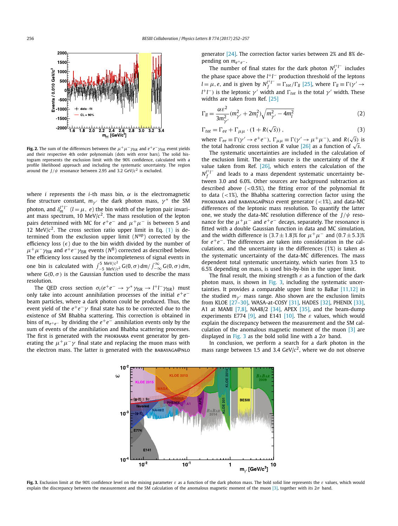<span id="page-4-0"></span>

**Fig. 2.** The sum of the differences between the  $\mu^+\mu^-\gamma_{\rm ISR}$  and  $e^+e^-\gamma_{\rm ISR}$  event yields and their respective 4th order polynomials (dots with error bars). The solid histogram represents the exclusion limit with the 90% confidence, calculated with a profile likelihood approach and including the systematic uncertainty. The region around the *J/ψ* resonance between 2.95 and 3.2 GeV/*c*<sup>2</sup> is excluded.

where *i* represents the *i*-th mass bin,  $\alpha$  is the electromagnetic fine structure constant,  $m_{\gamma}$  the dark photon mass,  $\gamma^*$  the SM photon, and  $\delta_m^{l+l-1}$  (*l* =  $\mu$ , *e*) the bin width of the lepton pair invariant mass spectrum, 10 MeV/ $c<sup>2</sup>$ . The mass resolution of the lepton pairs determined with MC for  $e^+e^-$  and  $\mu^+\mu^-$  is between 5 and 12 MeV/ $c^2$ . The cross section ratio upper limit in Eq.  $(1)$  is determined from the exclusion upper limit (*N*up) corrected by the efficiency loss () due to the bin width divided by the number of  $\mu^+\mu^-\gamma_{\rm ISR}$  and  $e^+e^-\gamma_{\rm ISR}$  events (*N*<sup>B</sup>) corrected as described below. The efficiency loss caused by the incompleteness of signal events in one bin is calculated with  $\int_{-5}^{5} \frac{MeV/c^2}{MeV/c^2} G(0, \sigma) dm / \int_{-\infty}^{\infty} G(0, \sigma) dm$ , where G*(*0*,σ)* is the Gaussian function used to describe the mass resolution.

The QED cross section  $\sigma_i(e^+e^- \to \gamma^* \gamma_{\rm ISR} \to l^+l^-\gamma_{\rm ISR})$  must only take into account annihilation processes of the initial *e*+*e*− beam particles, where a dark photon could be produced. Thus, the event yield of the  $e^+e^-\gamma$  final state has to be corrected due to the existence of SM Bhabha scattering. This correction is obtained in bins of  $m_{e^+e^-}$  by dividing the  $e^+e^-$  annihilation events only by the sum of events of the annihilation and Bhabha scattering processes. The first is generated with the PHOKHARA event generator by generating the  $\mu^+\mu^-\gamma$  final state and replacing the muon mass with the electron mass. The latter is generated with the BABAYAGA@NLO generator [\[24\].](#page-5-0) The correction factor varies between 2% and 8% depending on *me*+*e*<sup>−</sup> .

The number of final states for the dark photon  $N_f^{f+1^-}$  includes the phase space above the *l* +*l* − production threshold of the leptons  $l = \mu$ , *e*, and is given by  $N_f^{l^+l^-} = \Gamma_{tot}/\Gamma_{ll}$  [\[25\],](#page-5-0) where  $\Gamma_{ll} \equiv \Gamma(\gamma' \rightarrow$ *l*<sup>+</sup>*l*<sup>−</sup>) is the leptonic *γ*′ width and Γ<sub>tot</sub> is the total *γ*′ width. These widths are taken from Ref. [\[25\]](#page-5-0)

$$
\Gamma_{ll} = \frac{\alpha \varepsilon^2}{3m_{\gamma'}^2} (m_{\gamma'}^2 + 2m_l^2) \sqrt{m_{\gamma'}^2 - 4m_l^2}
$$
 (2)

$$
\Gamma_{tot} = \Gamma_{ee} + \Gamma_{\mu\mu} \cdot (1 + R(\sqrt{s})) \,, \tag{3}
$$

where  $\Gamma_{ee} \equiv \Gamma(\gamma' \to e^+e^-)$ ,  $\Gamma_{\mu\mu} \equiv \Gamma(\gamma' \to \mu^+\mu^-)$ , and  $R(\sqrt{s})$  is the total hadronic cross section *R* value [\[26\]](#page-5-0) as a function of  $\sqrt{s}$ .

The systematic uncertainties are included in the calculation of the exclusion limit. The main source is the uncertainty of the *R* value taken from Ref.  $[26]$ , which enters the calculation of the  $N_f^{l^+l^-}$  and leads to a mass dependent systematic uncertainty between 3.0 and 6.0%. Other sources are background subtraction as described above (*<*0.5%), the fitting error of the polynomial fit to data (*<*1%), the Bhabha scattering correction factor using the phokhara and babayaga@nlo event generator (*<*1%), and data-MC differences of the leptonic mass resolution. To quantify the latter one, we study the data-MC resolution difference of the *J/ψ* resonance for the  $\mu^+\mu^-$  and  $e^+e^-$  decays, separately. The resonance is fitted with a double Gaussian function in data and MC simulation, and the width difference is  $(3.7 \pm 1.8)$ % for  $\mu^+ \mu^-$  and  $(0.7 \pm 5.3)$ % for *e*+*e*−. The differences are taken into consideration in the calculations, and the uncertainty in the differences (1%) is taken as the systematic uncertainty of the data-MC differences. The mass dependent total systematic uncertainty, which varies from 3.5 to 6.5% depending on mass, is used bin-by-bin in the upper limit.

The final result, the mixing strength *ε* as a function of the dark photon mass, is shown in Fig. 3, including the systematic uncertainties. It provides a comparable upper limit to BaBar  $[11,12]$  in the studied  $m_{\gamma}$ <sup>n</sup> mass range. Also shown are the exclusion limits from KLOE [\[27–30\],](#page-5-0) WASA-at-COSY [\[31\],](#page-5-0) HADES [\[32\],](#page-5-0) PHENIX [\[33\],](#page-5-0) A1 at MAMI  $[7,8]$ , NA48/2  $[34]$ , APEX  $[35]$ , and the beam-dump experiments E774 [\[9\],](#page-5-0) and E141 [\[10\].](#page-5-0) The  $\varepsilon$  values, which would explain the discrepancy between the measurement and the SM calculation of the anomalous magnetic moment of the muon  $\begin{bmatrix} 3 \end{bmatrix}$  are displayed in Fig. 3 as the bold solid line with a 2*σ* band.

In conclusion, we perform a search for a dark photon in the mass range between 1.5 and 3.4 GeV/*c*2, where we do not observe



**Fig. 3.** Exclusion limit at the 90% confidence level on the mixing parameter *ε* as a function of the dark photon mass. The bold solid line represents the *ε* values, which would explain the discrepancy between the measurement and the SM calculation of the anomalous magnetic moment of the muon [\[3\],](#page-5-0) together with its 2*σ* band.